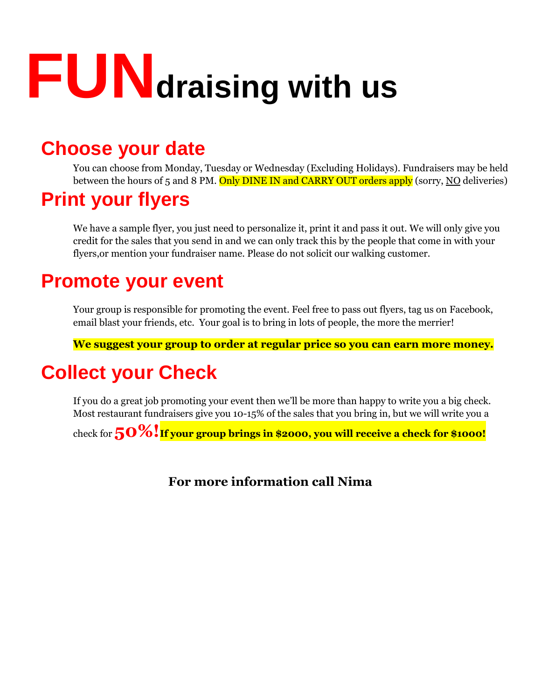# **FUNdraising with us**

### **Choose your date**

You can choose from Monday, Tuesday or Wednesday (Excluding Holidays). Fundraisers may be held between the hours of 5 and 8 PM. Only DINE IN and CARRY OUT orders apply (sorry, NO deliveries)

## **Print your flyers**

We have a sample flyer, you just need to personalize it, print it and pass it out. We will only give you credit for the sales that you send in and we can only track this by the people that come in with your flyers,or mention your fundraiser name. Please do not solicit our walking customer.

### **Promote your event**

Your group is responsible for promoting the event. Feel free to pass out flyers, tag us on Facebook, email blast your friends, etc. Your goal is to bring in lots of people, the more the merrier!

**We suggest your group to order at regular price so you can earn more money.**

## **Collect your Check**

If you do a great job promoting your event then we'll be more than happy to write you a big check. Most restaurant fundraisers give you 10-15% of the sales that you bring in, but we will write you a

check for **50%!If your group brings in \$2000, you will receive a check for \$1000!**

**For more information call Nima**